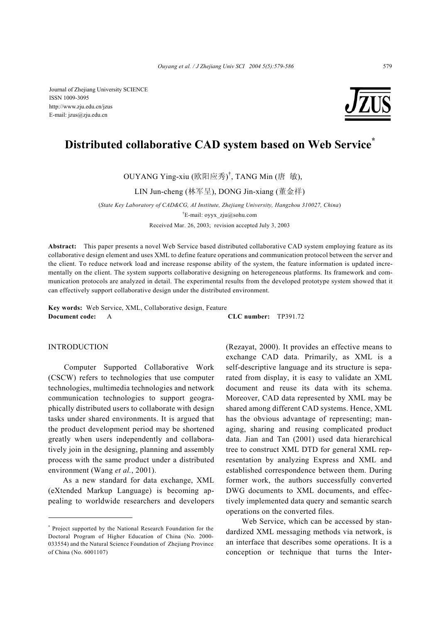

# **Distributed collaborative CAD system based on Web Service\***

OUYANG Ying-xiu (欧阳应秀) † , TANG Min (唐 敏),

LIN Jun-cheng (林军呈), DONG Jin-xiang (董金祥)

(*State Key Laboratory of CAD&CG, AI Institute, Zhejiang University, Hangzhou 310027, China*)

† E-mail: oyyx\_zju@sohu.com

Received Mar. 26, 2003; revision accepted July 3, 2003

**Abstract:** This paper presents a novel Web Service based distributed collaborative CAD system employing feature as its collaborative design element and uses XML to define feature operations and communication protocol between the server and the client. To reduce network load and increase response ability of the system, the feature information is updated incrementally on the client. The system supports collaborative designing on heterogeneous platforms. Its framework and communication protocols are analyzed in detail. The experimental results from the developed prototype system showed that it can effectively support collaborative design under the distributed environment.

**Key words:** Web Service, XML, Collaborative design, Feature **Document code:** A **CLC number:** TP391.72

#### INTRODUCTION

Computer Supported Collaborative Work (CSCW) refers to technologies that use computer technologies, multimedia technologies and network communication technologies to support geographically distributed users to collaborate with design tasks under shared environments. It is argued that the product development period may be shortened greatly when users independently and collaboratively join in the designing, planning and assembly process with the same product under a distributed environment (Wang *et al.*, 2001).

As a new standard for data exchange, XML (eXtended Markup Language) is becoming appealing to worldwide researchers and developers (Rezayat, 2000). It provides an effective means to exchange CAD data. Primarily, as XML is a self-descriptive language and its structure is separated from display, it is easy to validate an XML document and reuse its data with its schema. Moreover, CAD data represented by XML may be shared among different CAD systems. Hence, XML has the obvious advantage of representing; managing, sharing and reusing complicated product data. Jian and Tan (2001) used data hierarchical tree to construct XML DTD for general XML representation by analyzing Express and XML and established correspondence between them. During former work, the authors successfully converted DWG documents to XML documents, and effectively implemented data query and semantic search operations on the converted files.

Web Service, which can be accessed by standardized XML messaging methods via network, is an interface that describes some operations. It is a conception or technique that turns the Inter-

<sup>\*</sup> Project supported by the National Research Foundation for the Doctoral Program of Higher Education of China (No. 2000- 033554) and the Natural Science Foundation of Zhejiang Province of China (No. 6001107)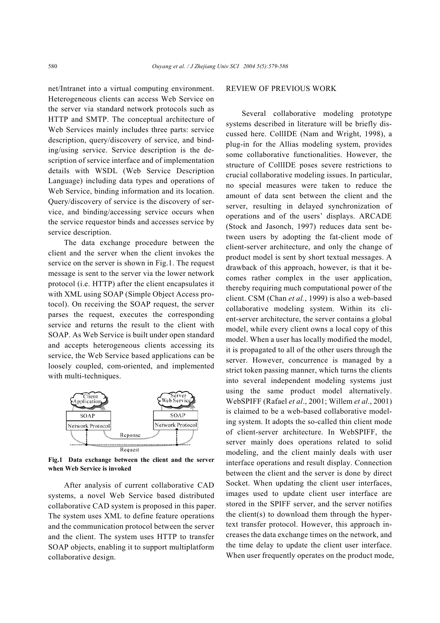net/Intranet into a virtual computing environment. Heterogeneous clients can access Web Service on the server via standard network protocols such as HTTP and SMTP. The conceptual architecture of Web Services mainly includes three parts: service description, query/discovery of service, and binding/using service. Service description is the description of service interface and of implementation details with WSDL (Web Service Description Language) including data types and operations of Web Service, binding information and its location. Query/discovery of service is the discovery of service, and binding/accessing service occurs when the service requestor binds and accesses service by service description.

The data exchange procedure between the client and the server when the client invokes the service on the server is shown in Fig.1. The request message is sent to the server via the lower network protocol (i.e. HTTP) after the client encapsulates it with XML using SOAP (Simple Object Access protocol). On receiving the SOAP request, the server parses the request, executes the corresponding service and returns the result to the client with SOAP. As Web Service is built under open standard and accepts heterogeneous clients accessing its service, the Web Service based applications can be loosely coupled, com-oriented, and implemented with multi-techniques.



**Fig.1 Data exchange between the client and the server when Web Service is invoked**

After analysis of current collaborative CAD systems, a novel Web Service based distributed collaborative CAD system is proposed in this paper. The system uses XML to define feature operations and the communication protocol between the server and the client. The system uses HTTP to transfer SOAP objects, enabling it to support multiplatform collaborative design.

#### REVIEW OF PREVIOUS WORK

Several collaborative modeling prototype systems described in literature will be briefly discussed here. CollIDE (Nam and Wright, 1998), a plug-in for the Allias modeling system, provides some collaborative functionalities. However, the structure of CollIDE poses severe restrictions to crucial collaborative modeling issues. In particular, no special measures were taken to reduce the amount of data sent between the client and the server, resulting in delayed synchronization of operations and of the users' displays. ARCADE (Stock and Jasonch, 1997) reduces data sent between users by adopting the fat-client mode of client-server architecture, and only the change of product model is sent by short textual messages. A drawback of this approach, however, is that it becomes rather complex in the user application, thereby requiring much computational power of the client. CSM (Chan *et al.*, 1999) is also a web-based collaborative modeling system. Within its client-server architecture, the server contains a global model, while every client owns a local copy of this model. When a user has locally modified the model, it is propagated to all of the other users through the server. However, concurrence is managed by a strict token passing manner, which turns the clients into several independent modeling systems just using the same product model alternatively. WebSPIFF (Rafael *et al*., 2001; Willem *et al*., 2001) is claimed to be a web-based collaborative modeling system. It adopts the so-called thin client mode of client-server architecture. In WebSPIFF, the server mainly does operations related to solid modeling, and the client mainly deals with user interface operations and result display. Connection between the client and the server is done by direct Socket. When updating the client user interfaces, images used to update client user interface are stored in the SPIFF server, and the server notifies the client(s) to download them through the hypertext transfer protocol. However, this approach increases the data exchange times on the network, and the time delay to update the client user interface. When user frequently operates on the product mode,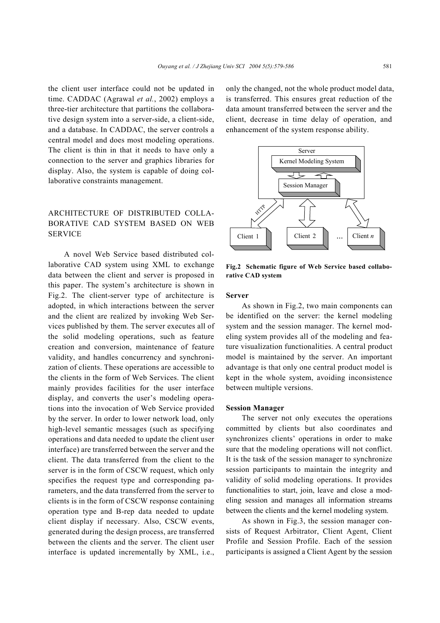the client user interface could not be updated in time. CADDAC (Agrawal *et al.*, 2002) employs a three-tier architecture that partitions the collaborative design system into a server-side, a client-side, and a database. In CADDAC, the server controls a central model and does most modeling operations. The client is thin in that it needs to have only a connection to the server and graphics libraries for display. Also, the system is capable of doing collaborative constraints management.

## ARCHITECTURE OF DISTRIBUTED COLLA-BORATIVE CAD SYSTEM BASED ON WEB **SERVICE**

A novel Web Service based distributed collaborative CAD system using XML to exchange data between the client and server is proposed in this paper. The system's architecture is shown in Fig.2. The client-server type of architecture is adopted, in which interactions between the server and the client are realized by invoking Web Services published by them. The server executes all of the solid modeling operations, such as feature creation and conversion, maintenance of feature validity, and handles concurrency and synchronization of clients. These operations are accessible to the clients in the form of Web Services. The client mainly provides facilities for the user interface display, and converts the user's modeling operations into the invocation of Web Service provided by the server. In order to lower network load, only high-level semantic messages (such as specifying operations and data needed to update the client user interface) are transferred between the server and the client. The data transferred from the client to the server is in the form of CSCW request, which only specifies the request type and corresponding parameters, and the data transferred from the server to clients is in the form of CSCW response containing operation type and B-rep data needed to update client display if necessary. Also, CSCW events, generated during the design process, are transferred between the clients and the server. The client user interface is updated incrementally by XML, i.e., only the changed, not the whole product model data, is transferred. This ensures great reduction of the data amount transferred between the server and the client, decrease in time delay of operation, and enhancement of the system response ability.



**Fig.2 Schematic figure of Web Service based collaborative CAD system** 

#### **Server**

As shown in Fig.2, two main components can be identified on the server: the kernel modeling system and the session manager. The kernel modeling system provides all of the modeling and feature visualization functionalities. A central product model is maintained by the server. An important advantage is that only one central product model is kept in the whole system, avoiding inconsistence between multiple versions.

#### **Session Manager**

The server not only executes the operations committed by clients but also coordinates and synchronizes clients' operations in order to make sure that the modeling operations will not conflict. It is the task of the session manager to synchronize session participants to maintain the integrity and validity of solid modeling operations. It provides functionalities to start, join, leave and close a modeling session and manages all information streams between the clients and the kernel modeling system.

As shown in Fig.3, the session manager consists of Request Arbitrator, Client Agent, Client Profile and Session Profile. Each of the session participants is assigned a Client Agent by the session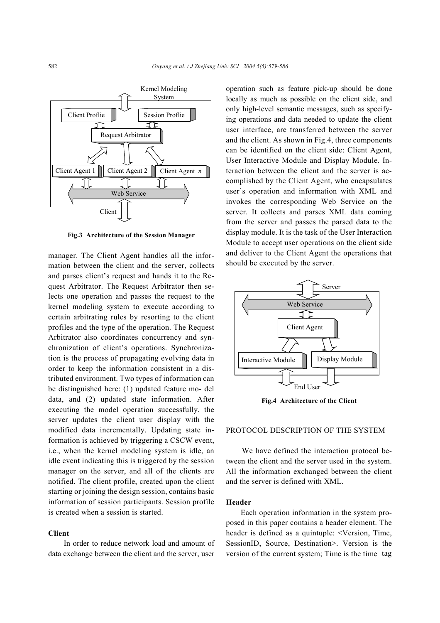

**Fig.3 Architecture of the Session Manager**

manager. The Client Agent handles all the information between the client and the server, collects and parses client's request and hands it to the Request Arbitrator. The Request Arbitrator then selects one operation and passes the request to the kernel modeling system to execute according to certain arbitrating rules by resorting to the client profiles and the type of the operation. The Request Arbitrator also coordinates concurrency and synchronization of client's operations. Synchronization is the process of propagating evolving data in order to keep the information consistent in a distributed environment. Two types of information can be distinguished here: (1) updated feature mo- del data, and (2) updated state information. After executing the model operation successfully, the server updates the client user display with the modified data incrementally. Updating state information is achieved by triggering a CSCW event, i.e., when the kernel modeling system is idle, an idle event indicating this is triggered by the session manager on the server, and all of the clients are notified. The client profile, created upon the client starting or joining the design session, contains basic information of session participants. Session profile is created when a session is started.

#### **Client**

In order to reduce network load and amount of data exchange between the client and the server, user operation such as feature pick-up should be done locally as much as possible on the client side, and only high-level semantic messages, such as specifying operations and data needed to update the client user interface, are transferred between the server and the client. As shown in Fig.4, three components can be identified on the client side: Client Agent, User Interactive Module and Display Module. Interaction between the client and the server is accomplished by the Client Agent, who encapsulates user's operation and information with XML and invokes the corresponding Web Service on the server. It collects and parses XML data coming from the server and passes the parsed data to the display module. It is the task of the User Interaction Module to accept user operations on the client side and deliver to the Client Agent the operations that should be executed by the server.



**Fig.4 Architecture of the Client** 

#### PROTOCOL DESCRIPTION OF THE SYSTEM

We have defined the interaction protocol between the client and the server used in the system. All the information exchanged between the client and the server is defined with XML.

#### **Header**

Each operation information in the system proposed in this paper contains a header element. The header is defined as a quintuple: <Version, Time, SessionID, Source, Destination>. Version is the version of the current system; Time is the time tag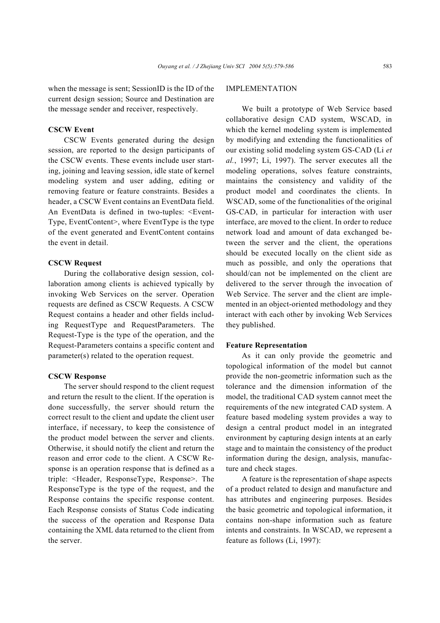when the message is sent; SessionID is the ID of the current design session; Source and Destination are the message sender and receiver, respectively.

## **CSCW Event**

CSCW Events generated during the design session, are reported to the design participants of the CSCW events. These events include user starting, joining and leaving session, idle state of kernel modeling system and user adding, editing or removing feature or feature constraints. Besides a header, a CSCW Event contains an EventData field. An EventData is defined in two-tuples: <Event-Type, EventContent>, where EventType is the type of the event generated and EventContent contains the event in detail.

## **CSCW Request**

During the collaborative design session, collaboration among clients is achieved typically by invoking Web Services on the server. Operation requests are defined as CSCW Requests. A CSCW Request contains a header and other fields including RequestType and RequestParameters. The Request-Type is the type of the operation, and the Request-Parameters contains a specific content and parameter(s) related to the operation request.

### **CSCW Response**

The server should respond to the client request and return the result to the client. If the operation is done successfully, the server should return the correct result to the client and update the client user interface, if necessary, to keep the consistence of the product model between the server and clients. Otherwise, it should notify the client and return the reason and error code to the client. A CSCW Response is an operation response that is defined as a triple: <Header, ResponseType, Response>. The ResponseType is the type of the request, and the Response contains the specific response content. Each Response consists of Status Code indicating the success of the operation and Response Data containing the XML data returned to the client from the server.

## IMPLEMENTATION

We built a prototype of Web Service based collaborative design CAD system, WSCAD, in which the kernel modeling system is implemented by modifying and extending the functionalities of our existing solid modeling system GS-CAD (Li *et al.*, 1997; Li, 1997). The server executes all the modeling operations, solves feature constraints, maintains the consistency and validity of the product model and coordinates the clients. In WSCAD, some of the functionalities of the original GS-CAD, in particular for interaction with user interface, are moved to the client. In order to reduce network load and amount of data exchanged between the server and the client, the operations should be executed locally on the client side as much as possible, and only the operations that should/can not be implemented on the client are delivered to the server through the invocation of Web Service. The server and the client are implemented in an object-oriented methodology and they interact with each other by invoking Web Services they published.

### **Feature Representation**

As it can only provide the geometric and topological information of the model but cannot provide the non-geometric information such as the tolerance and the dimension information of the model, the traditional CAD system cannot meet the requirements of the new integrated CAD system. A feature based modeling system provides a way to design a central product model in an integrated environment by capturing design intents at an early stage and to maintain the consistency of the product information during the design, analysis, manufacture and check stages.

A feature is the representation of shape aspects of a product related to design and manufacture and has attributes and engineering purposes. Besides the basic geometric and topological information, it contains non-shape information such as feature intents and constraints. In WSCAD, we represent a feature as follows (Li, 1997):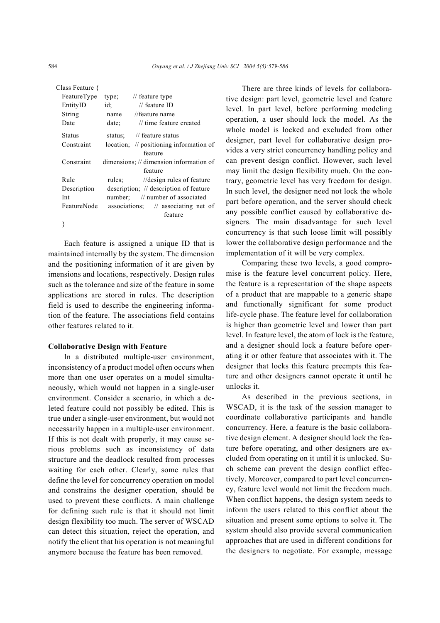| Class Feature { |                                        |                                                    |
|-----------------|----------------------------------------|----------------------------------------------------|
| FeatureType     | type;                                  | $\frac{1}{2}$ feature type                         |
| EntityID        | id:                                    | // feature $ID$                                    |
| String          | name                                   | //feature name                                     |
| Date            | date:                                  | // time feature created                            |
| Status          |                                        | status: // feature status                          |
| Constraint      |                                        | location; $\frac{1}{2}$ positioning information of |
|                 |                                        | feature                                            |
| Constraint      |                                        | dimensions; // dimension information of            |
|                 |                                        | feature                                            |
| Rule            | rules:                                 | //design rules of feature                          |
| Description     | description; // description of feature |                                                    |
| Int             |                                        | number: // number of associated                    |
| FeatureNode     |                                        | associations; // associating net of                |
|                 |                                        | feature                                            |
|                 |                                        |                                                    |

Each feature is assigned a unique ID that is maintained internally by the system. The dimension and the positioning information of it are given by imensions and locations, respectively. Design rules such as the tolerance and size of the feature in some applications are stored in rules. The description field is used to describe the engineering information of the feature. The associations field contains other features related to it.

## **Collaborative Design with Feature**

In a distributed multiple-user environment, inconsistency of a product model often occurs when more than one user operates on a model simultaneously, which would not happen in a single-user environment. Consider a scenario, in which a deleted feature could not possibly be edited. This is true under a single-user environment, but would not necessarily happen in a multiple-user environment. If this is not dealt with properly, it may cause serious problems such as inconsistency of data structure and the deadlock resulted from processes waiting for each other. Clearly, some rules that define the level for concurrency operation on model and constrains the designer operation, should be used to prevent these conflicts. A main challenge for defining such rule is that it should not limit design flexibility too much. The server of WSCAD can detect this situation, reject the operation, and notify the client that his operation is not meaningful anymore because the feature has been removed.

There are three kinds of levels for collaborative design: part level, geometric level and feature level. In part level, before performing modeling operation, a user should lock the model. As the whole model is locked and excluded from other designer, part level for collaborative design provides a very strict concurrency handling policy and can prevent design conflict. However, such level may limit the design flexibility much. On the contrary, geometric level has very freedom for design. In such level, the designer need not lock the whole part before operation, and the server should check any possible conflict caused by collaborative designers. The main disadvantage for such level concurrency is that such loose limit will possibly lower the collaborative design performance and the implementation of it will be very complex.

Comparing these two levels, a good compromise is the feature level concurrent policy. Here, the feature is a representation of the shape aspects of a product that are mappable to a generic shape and functionally significant for some product life-cycle phase. The feature level for collaboration is higher than geometric level and lower than part level. In feature level, the atom of lock is the feature, and a designer should lock a feature before operating it or other feature that associates with it. The designer that locks this feature preempts this feature and other designers cannot operate it until he unlocks it.

As described in the previous sections, in WSCAD, it is the task of the session manager to coordinate collaborative participants and handle concurrency. Here, a feature is the basic collaborative design element. A designer should lock the feature before operating, and other designers are excluded from operating on it until it is unlocked. Such scheme can prevent the design conflict effectively. Moreover, compared to part level concurrency, feature level would not limit the freedom much. When conflict happens, the design system needs to inform the users related to this conflict about the situation and present some options to solve it. The system should also provide several communication approaches that are used in different conditions for the designers to negotiate. For example, message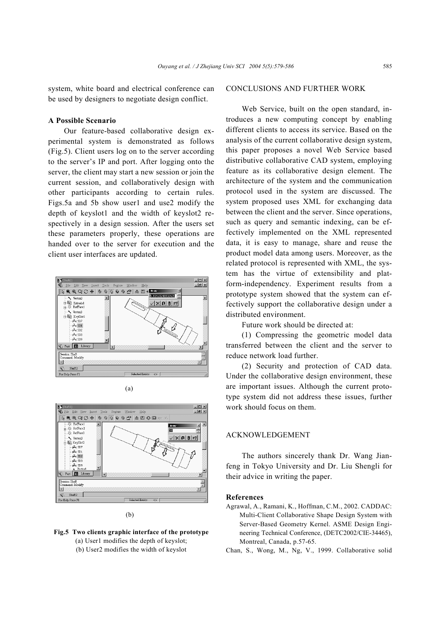system, white board and electrical conference can be used by designers to negotiate design conflict.

## **A Possible Scenario**

Our feature-based collaborative design experimental system is demonstrated as follows (Fig.5). Client users log on to the server according to the server's IP and port. After logging onto the server, the client may start a new session or join the current session, and collaboratively design with other participants according to certain rules. Figs.5a and 5b show user1 and use2 modify the depth of keyslot1 and the width of keyslot2 respectively in a design session. After the users set these parameters properly, these operations are handed over to the server for execution and the client user interfaces are updated.







(b)



## CONCLUSIONS AND FURTHER WORK

Web Service, built on the open standard, introduces a new computing concept by enabling different clients to access its service. Based on the analysis of the current collaborative design system, this paper proposes a novel Web Service based distributive collaborative CAD system, employing feature as its collaborative design element. The architecture of the system and the communication protocol used in the system are discussed. The system proposed uses XML for exchanging data between the client and the server. Since operations, such as query and semantic indexing, can be effectively implemented on the XML represented data, it is easy to manage, share and reuse the product model data among users. Moreover, as the related protocol is represented with XML, the system has the virtue of extensibility and platform-independency. Experiment results from a prototype system showed that the system can effectively support the collaborative design under a distributed environment.

Future work should be directed at:

(1) Compressing the geometric model data transferred between the client and the server to reduce network load further.

(2) Security and protection of CAD data. Under the collaborative design environment, these are important issues. Although the current prototype system did not address these issues, further work should focus on them.

## ACKNOWLEDGEMENT

The authors sincerely thank Dr. Wang Jianfeng in Tokyo University and Dr. Liu Shengli for their advice in writing the paper.

#### **References**

Agrawal, A., Ramani, K., Hoffman, C.M., 2002. CADDAC: Multi-Client Collaborative Shape Design System with Server-Based Geometry Kernel. ASME Design Engineering Technical Conference, (DETC2002/CIE-34465), Montreal, Canada, p.57-65.

Chan, S., Wong, M., Ng, V., 1999. Collaborative solid